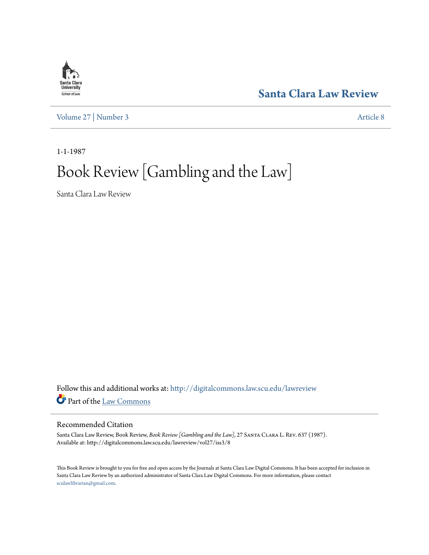

**[Santa Clara Law Review](http://digitalcommons.law.scu.edu/lawreview?utm_source=digitalcommons.law.scu.edu%2Flawreview%2Fvol27%2Fiss3%2F8&utm_medium=PDF&utm_campaign=PDFCoverPages)**

[Volume 27](http://digitalcommons.law.scu.edu/lawreview/vol27?utm_source=digitalcommons.law.scu.edu%2Flawreview%2Fvol27%2Fiss3%2F8&utm_medium=PDF&utm_campaign=PDFCoverPages) | [Number 3](http://digitalcommons.law.scu.edu/lawreview/vol27/iss3?utm_source=digitalcommons.law.scu.edu%2Flawreview%2Fvol27%2Fiss3%2F8&utm_medium=PDF&utm_campaign=PDFCoverPages) [Article 8](http://digitalcommons.law.scu.edu/lawreview/vol27/iss3/8?utm_source=digitalcommons.law.scu.edu%2Flawreview%2Fvol27%2Fiss3%2F8&utm_medium=PDF&utm_campaign=PDFCoverPages)

1-1-1987

# Book Review [Gambling and the Law]

Santa Clara Law Review

Follow this and additional works at: [http://digitalcommons.law.scu.edu/lawreview](http://digitalcommons.law.scu.edu/lawreview?utm_source=digitalcommons.law.scu.edu%2Flawreview%2Fvol27%2Fiss3%2F8&utm_medium=PDF&utm_campaign=PDFCoverPages) Part of the [Law Commons](http://network.bepress.com/hgg/discipline/578?utm_source=digitalcommons.law.scu.edu%2Flawreview%2Fvol27%2Fiss3%2F8&utm_medium=PDF&utm_campaign=PDFCoverPages)

## Recommended Citation

Santa Clara Law Review, Book Review, *Book Review [Gambling and the Law]*, 27 Santa Clara L. Rev. 637 (1987). Available at: http://digitalcommons.law.scu.edu/lawreview/vol27/iss3/8

This Book Review is brought to you for free and open access by the Journals at Santa Clara Law Digital Commons. It has been accepted for inclusion in Santa Clara Law Review by an authorized administrator of Santa Clara Law Digital Commons. For more information, please contact [sculawlibrarian@gmail.com](mailto:sculawlibrarian@gmail.com).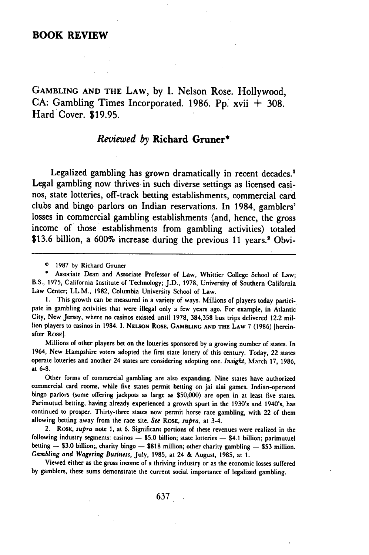**GAMBLING AND** THE LAW, **by** I. Nelson Rose. Hollywood, **CA:** Gambling Times Incorporated. **1986. Pp.** xvii **+ 308.** Hard Cover. **\$19.95.**

## *Reviewed by* **Richard Gruner\***

Legalized gambling has grown dramatically in recent decades.<sup>1</sup> Legal gambling now thrives in such diverse settings as licensed casinos, state lotteries, off-track betting establishments, commercial card clubs and bingo parlors on Indian reservations. In 1984, gamblers' losses in commercial gambling establishments (and, hence, the gross income of those establishments from gambling activities) totaled **\$13.6** billion, a **600%** increase during the previous **11** years." Obvi-

Millions of other players bet on the lotteries sponsored **by** a growing number of states. In 1964, New Hampshire voters adopted the first state lottery of this century. Today, 22 states operate lotteries and another 24 states are considering adopting one. *Insight,* March **17,** 1986, at 6-8.

Other forms of commercial gambling are also expanding. Nine states have authorized commercial card rooms, while five states permit betting on jai alai games. Indian-operated bingo parlors (some offering jackpots as large as **\$50,000)** are open in at least five states. Parimutuel betting, having already experienced a growth spurt in the 1930's and 1940's, has continued to prosper. Thirty-three states now permit horse race gambling, with 22 of them allowing betting away from the race site. *See* ROSE, *supra,* at 3-4.

2. RosE, *supra* note 1, at 6. Significant portions of these revenues were realized in the following industry segments: casinos **- \$5.0** billion; state lotteries **-** \$4.1 billion; parimutuel betting **- \$3.0** billion;, charity bingo **- \$818** million; other charity gambling **- \$53** million. *Gambling and Wagering Business,* July, **1985,** at 24 **&** August, **1985,** at **1.**

Viewed either as the gross income of a thriving industry or as the economic losses suffered **by** gamblers, these sums demonstrate the current social importance of legalized gambling.

**<sup>©</sup>** 1987 **by** Richard Gruner

**<sup>\*</sup>** Associate Dean and Associate Professor of Law, Whittier College School of Law; B.S., 1975, California Institute of Technology; **J.D.,** 1978, University of Southern California Law Center; LL.M., 1982, Columbia University School of Law.

<sup>1.</sup> This growth can be measured in a variety of ways. Millions of players today participate in gambling activities that were illegal only a few years ago. For example, in Atlantic City, New Jersey, where no casinos existed until 1978, **384,358** bus trips delivered 12.2 million players to casinos in 1984. **I. NELSON ROSE, GAMBLING AND THE LAW** 7 **(1986)** [hereinafter ROsE].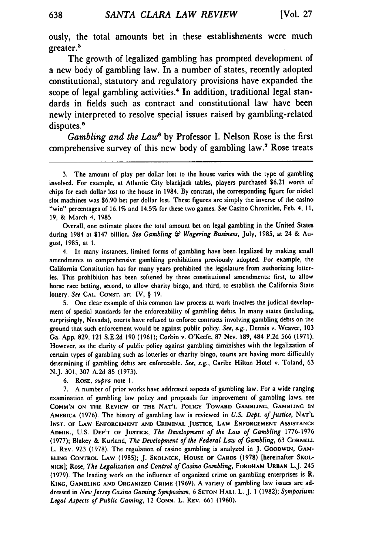ously, the total amounts bet in these establishments were much greater.<sup>3</sup>

The growth of legalized gambling has prompted development of a new body of gambling law. In a number of states, recently adopted constitutional, statutory and regulatory provisions have expanded the scope of legal gambling activities.<sup>4</sup> In addition, traditional legal standards in fields such as contract and constitutional law have been newly interpreted to resolve special issues raised **by** gambling-related disputes.<sup>5</sup>

*Gambling and the Law6* **by** Professor **I.** Nelson Rose is the first comprehensive survey of this new body of gambling law.7 Rose treats

Overall, one estimate places the total amount bet on legal gambling in the United States during 1984 at \$147 billion. See Gambling & Wagering Business, July, **1985,** at 24 **&** August, **1985,** at **1.**

4. In many instances, limited forms of gambling have been legalized **by** making small amendments to comprehensive gambling prohibitions previously adopted. For example, the California Constitution has for many years prohibited the legislature from authorizing lotteries. This prohibition has been softened by three constitutional amendments: first, to allow horse race betting, second, to allow charity bingo, and third, to establish the California State lottery. See CAL. CONST. art. IV, § **19.**

5. One clear example of this common law process at work involves the judicial development of special standards for the enforceability of gambling debts. In many states (including, surprisingly, Nevada), courts have refused to enforce contracts involving gambling debts on the ground that such enforcement would be against public policy. See, e.g., Dennis v. Weaver, **103** Ga. **App. 829,** 121 **S.E.2d 190 (1961);** Corbin v. O'Keefe, **87** Nev. **189,** 484 **P.2d 566 (1971).** However, as the clarity of public policy against gambling diminishes with the legalization of certain types of gambling such as lotteries or charity bingo, courts are having more difficultly determining if gambling debts are enforceable. *See,* e.g., Caribe Hilton Hotel v. Toland, **63 N.J. 301, 307 A.2d 85 (1973).**

6. **ROSE,** *supra* note **1.**

**7. A** number of prior works have addressed aspects of gambling law. For a wide ranging examination of gambling law policy and proposals for improvement of gambling laws, see **COMM'N ON THE REVIEW OF THE NAT'L POLICY TOWARD GAMBLING, GAMBLING IN** AMERICA **(1976).** The **history of gambling law is reviewed in U.S.** Dept. of Justice, **NAT'L INST. OF LAW ENFORCEMENT AND CRIMINAL JUSTICE, LAW ENFORCEMENT ASSISTANCE ADMIN., U.S. DEP'T OF JUSTICE,** The Development of the Law of Gambling **1776-1976 (1977);** Blakey & Kurland, The Development of the Federal Law of Gambling, 63 **CORNELL** L. **REV. 923 (1978).** The regulation of casino gambling is analyzed in **J. GOODWIN, GAM-BLING CONTROL LAW (1985); J. SKOLNICK, HOUSE OF CARDS (1978)** [hereinafter **SKOL-NICK];** Rose, The Legalization and Control of Casino Gambling, **FORDHAM URBAN** L.J. 245 **(1979).** The leading work on the influence of organized crime on gambling enterprises is R. **KING, GAMBLING AND ORGANIZED CRIME (1969). A** variety of gambling law issues are addressed in New Jersey Casino Gaming Symposium, 6 **SETON HAL.L** L. **J. 1 (1982);** Symposium: Legal Aspects of Public Gaming, 12 **CONN.** L. **REV. 661 (1980).**

**<sup>3.</sup>** The amount of play per dollar lost to the house varies with the type of gambling involved. For example, at Atlantic City blackjack tables, players purchased **\$6.21** worth of chips for each dollar lost to the house in 1984. **By** contrast, the corresponding figure for nickel slot machines was **\$6.90** bet per dollar lost. These figures are simply the inverse of the casino "win" percentages of **16.1%** and 14.5% for these **two** games. See Casino Chronicles, Feb. 4, **11, 19, &** March 4, **1985.**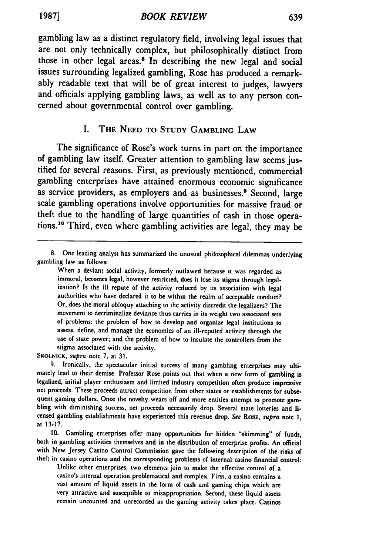**19871** *BOOK REVIEW*

gambling law as a distinct regulatory field, involving legal issues that are not only technically complex, but philosophically distinct from those in other legal areas.<sup>8</sup> In describing the new legal and social issues surrounding legalized gambling, Rose has produced a remarkably readable text that will be of great interest to judges, lawyers and officials applying gambling laws, as well as to any person concerned about governmental control over gambling.

### I. **THE NEED TO STUDY GAMBLING LAW**

The significance of Rose's work turns in part on the importance of gambling law itself. Greater attention to gambling law seems justified for several reasons. First, as previously mentioned, commercial gambling enterprises have attained enormous economic significance as service providers, as employers and as businesses.<sup>9</sup> Second, large scale gambling operations involve opportunities for massive fraud or theft due to the handling of large quantities of cash in those operations."0 Third, even where gambling activities are legal, they may be

When a deviant social activity, formerly outlawed because it was regarded as immoral, becomes legal, however restricted, does it lose its stigma through legalization? Is the ill repute of the activity reduced **by** its association with legal authorities who have declared it to be within the realm of acceptable conduct? Or, does the moral obloquy attaching to the activity discredit the legalizers? The movement to decriminalize deviance thus carries in its weight two associated sets of problems: the problem of how to develop and organize legal institutions to assess, define, and manage the economics of an ill-reputed activity through the use of state power; and the problem of how to insulate the controllers from the stigma associated with the activity.

SKOLNICK, *supra* note **7,** at **31.**

**9.** Ironically, the spectacular initial success of many gambling enterprises may ultimately lead to their demise. Professor Rose points out that when a new form of gambling is legalized, initial player enthusiasm and limited industry competition often produce impressive net proceeds. These proceeds attract competition from other states or establishments for subsequent gaming dollars. Once the novelty wears off and more entities attempt to promote gambling with diminishing success, net proceeds necessarily drop. Several state lotteries and licensed gambling establishments have experienced this revenue drop. See **ROSE,** *supra* note **1,** at **13-17.**

**10.** Gambling enterprises offer many opportunities for hidden "skimming" of funds, both in gambling activities themselves and in the distribution of enterprise profits. An official with New Jersey Casino Control Commission gave the following description of the risks of theft in casino operations and the corresponding problems of internal casino financial control:

Unlike other enterprises, two elements join to make the effective control of a casino's internal operation problematical and complex. First, a casino contains a vast amount of liquid assets in the form of cash and gaming chips which are very attractive and susceptible to misappropriation. Second, these liquid assets remain uncounted and unrecorded as the gaming activity takes place. Casinos

**<sup>8.</sup>** One leading analyst has summarized the unusual philosophical dilemmas underlying gambling law as follows: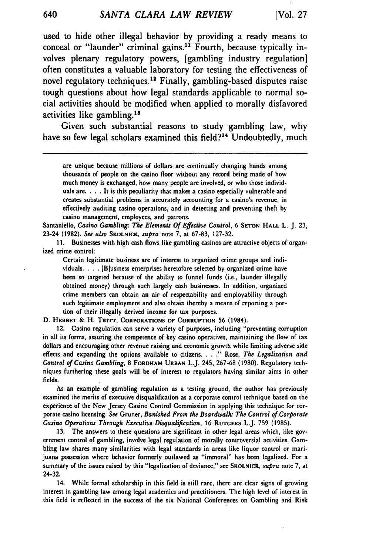used to hide other illegal behavior by providing a ready means to conceal or "launder" criminal gains.<sup>11</sup> Fourth, because typically involves plenary regulatory powers, [gambling industry regulation] often constitutes a valuable laboratory for testing the effectiveness of novel regulatory techniques.<sup>12</sup> Finally, gambling-based disputes raise tough questions about how legal standards applicable to normal social activities should be modified when applied to morally disfavored activities like gambling.<sup>18</sup>

Given such substantial reasons to study gambling law, why have so few legal scholars examined this field?<sup>14</sup> Undoubtedly, much

are unique because millions of dollars are continually changing hands among thousands of people on the casino floor without any record being made of how much money is exchanged, how many people are involved, or who those individuals are. . **.** . It is this peculiarity that makes a casino especially vulnerable and creates substantial problems in accurately accounting for a casino's revenue, in effectively auditing casino operations, and in detecting and preventing theft **by** casino management, employees, and patrons.

Santaniello, *Casino Gambling: The Elements Of Effective Control,* 6 **SETON** HALL L. J. **23,** 23-24 **(1982).** *See also* **SKOLNICK,** *supra* **note 7, at 67-83, 127-32.**

**11.** Businesses with high cash flows like gambling casinos are attractive objects of organized crime control:

Certain legitimate business are of interest to organized crime groups and individuals. . **.** . [Blusiness enterprises heretofore selected **by** organized crime have been so targeted because of the ability to funnel funds (i.e., launder illegally obtained money) through such largely cash businesses. In addition, organized crime members can obtain an air of respectability and employability through such legitimate employment and also obtain thereby a means of reporting a portion of their illegally derived income for tax purposes.

**D. HERBET** & **H. TRITT, CORPORATIONS OF CORRUPTION 56** (1984).

12. Casino regulation can serve a variety of purposes, including "preventing corruption in all its forms, assuring the competence of **key** casino operatives, maintaining the flow of tax dollars and encouraging other revenue raising and economic growth while limiting adverse side effects and expanding the options available to citizens **.. "** Rose, *The Legalization and Control of Casino Gambling,* **8 FORDHAM URBAN** L.J. 245, **267-68 (1980).** Regulatory techniques furthering these goals will be of interest to regulators having similar aims in other fields.

As an example of gambling regulation as a testing ground, the author has previously examined the merits of executive disqualification as a corporate control technique based on the experience of the New Jersey Casino Control Commission in applying this technique for corporate casino licensing. *See* Gruner, *Banished From the Boardwalk. The Control of Corporate* **Casino Operations Through Executive Disqualification, 16 RUTGERS L.J. 759 (1985).** 

**13.** The answers to these questions are significant in other legal areas which, like government control of gambling, involve legal regulation of morally controversial activities. Gambling law shares many similarities with legal standards in areas like liquor control or marijuana possession where behavior formerly outlawed as "immoral" has been legalized. For a summary of the issues raised **by** this "legalization of deviance," see **SKOLNICK,** *supra* note **7,** at 24-32.

14. While formal scholarship in this field is still rare, there are clear signs of growing interest in gambling law among legal academics and practitioners. The high level of interest in this field is reflected in the success of the six National Conferences on Gambling and Risk

640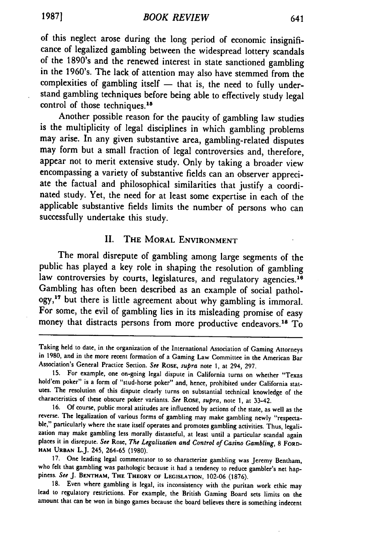of this neglect arose during the long period of economic insignificance of legalized gambling between the widespread lottery scandals of the 1890's and the renewed interest in state sanctioned gambling in the 1960's. The lack of attention may also have stemmed from the complexities of gambling itself - that is, the need to fully understand gambling techniques before being able to effectively study legal control of those techniques.<sup>15</sup>

Another possible reason for the paucity of gambling law studies is the multiplicity of legal disciplines in which gambling problems may arise. In any given substantive area, gambling-related disputes may form but a small fraction of legal controversies and, therefore, appear not to merit extensive study. Only by taking a broader view encompassing a variety of substantive fields can an observer appreciate the factual and philosophical similarities that justify a coordinated study. Yet, the need for at least some expertise in each of the applicable substantive fields limits the number of persons who can successfully undertake this study.

## II. **THE** MORAL **ENVIRONMENT**

The moral disrepute of gambling among large segments of the public has played a key role in shaping the resolution of gambling law controversies by courts, legislatures, and regulatory agencies.<sup>16</sup> Gambling has often been described as an example of social pathology, 17 but there is little agreement about why gambling is immoral. For some, the evil of gambling lies in its misleading promise of easy money that distracts persons from more productive endeavors.<sup>18</sup> To

Taking held to date, in the organization of the International Association of Gaming Attorneys in **1980,** and in the more recent formation of a Gaming Law Committee in the American Bar Association's General Practice Section. *See* RosE, *supra* note 1, at 294, 297.

<sup>15.</sup> For example, one on-going legal dispute in California turns on whether "Texas hold'em poker" is a form of "stud-horse poker" and, hence, prohibited under California statutes. The resolution of this dispute clearly turns on substantial technical knowledge of the characteristics of these obscure poker variants. *See* ROSE, *supra,* note **1,** at 33-42.

<sup>16.</sup> Of course, public moral attitudes are influenced by actions of the state, as well as the reverse. The legalization of various forms of gambling may make gambling newly "respectable," particularly where the state itself HAM **URBAN** L.J. 245, 264-65 (1980).

<sup>17.</sup> One leading legal commentator to so characterize gambling was Jeremy Bentham, who felt that gambling was pathologic because it had a tendency to reduce gambler's net hap piness. *See* J. **BENTHAM,** THE THEORY OF **LEGISLATION,** 102-06 (1876).

<sup>18.</sup> Even where gambling is legal, its inconsistency with the puritan work ethic may lead to regulatory restrictions. For example, the British Gaming Board sets limits on the amount that can be won in bingo games because the board believes there is something indecent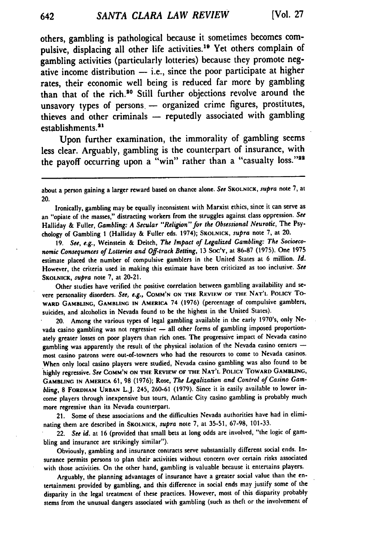others, gambling is pathological because it sometimes becomes compulsive, displacing all other life activities.<sup>19</sup> Yet others complain of gambling activities (particularly lotteries) because they promote negative income distribution **-** i.e., since the poor participate at higher rates, their economic well being is reduced far more **by** gambling than that of the rich.<sup>20</sup> Still further objections revolve around the unsavory types of persons, **-** organized crime figures, prostitutes, thieves and other criminals - reputedly associated with gambling establishments.<sup>31</sup>

Upon further examination, the immorality of gambling seems less clear. Arguably, gambling is the counterpart of insurance, with **2** the payoff occurring upon a "win" rather than a "casualty **loss."' "**

Ironically, gambling may be equally inconsistent with Marxist ethics, since it can serve as an "opiate of the masses," distracting workers from the struggles against class oppression. *See* Halliday **&** Fuller, *Gambling: A Secular "Religion" for the Obsessional Neurotic,* The Psychology of Gambling 1 (Halliday & Fuller eds. 1974); **SKOLNICK,** *supra* note 7, at 20.

**19.** *See, e.g.,* Weinstein & Deitch, *The Impact of Legalized Gambling: The Socioeconomic Consequences of Lotteries and Off-track Betting,* **13** Soc'v, at 86-87 (1975). One **<sup>1975</sup>** estimate placed the number of compulsive gamblers in the United States at 6 million. *Id.* However, the criteria used in making this estimate have been criticized as too inclusive. *See* **SKOLNICK,** *supra* note 7, at 20-21.

Other studies have verified the positive correlation between gambling availability and severe personality disorders. *See, e.g.,* **COMM'N ON THE** REVIEW **OF THE NAT'L POLICY** To-**WARD GAMBLING, GAMBLING IN AMERICA** 74 (1976) (percentage of compulsive gamblers, suicides, and alcoholics in Nevada found to **be** the highest in the United States).

20. Among the various types of legal gambling available in the early 1970's, only **Ne**vada casino gambling was not regressive - all other forms of gambling imposed proportionately greater losses on poor players than rich ones. The progressive impact of Nevada casino gambling was apparently the result of the physical isolation of the Nevada casino centers  most casino patrons were out-of-towners who had the resources to come to Nevada casinos. When only local casino players were studied, Nevada casino gambling was also found to be **highly** regressive. *See* **COMM'N ON THE REVIEW OF THE NAT'L POLICY TOWARD GAMBLING, GAMBLING IN AMERICA 61, 98 (1976);** Rose, *The Legalization and Control of Casino* Gam*bling,* 8 **FORDHAM URBAN** L.J. 245, **260-61** (1979). Since **it** is easily available to lower **in**come players through inexpensive bus tours, Atlantic City casino gambling is probably much more regressive than its Nevada counterpart.

21. Some of these associations and the difficulties Nevada authorities have had in eliminating them are described in **SKOLNICK,** *supra* note 7, at **35-51,** 67-98, **101-33.**

22. See id. at **16** (provided that small bets at long odds are involved, "the logic of gambling and insurance are strikingly similar").

Obviously, gambling and insurance contracts serve substantially different social ends. Insurance permits persons to plan their activities without concern over certain risks associated with those activities. On the other hand, gambling is valuable because it entertains players.

Arguably, the planning advantages of insurance have a greater social value than the entertainment provided **by** gambling, and this difference in social ends may justify some of the disparity in the legal treatment of these practices. However, most of this disparity probably stems from the unusual dangers associated with gambling (such as theft or the involvement of

about a person gaining a larger reward based on chance alone. *See* **SKOLNICK,** *supra* **note 7,** at 20.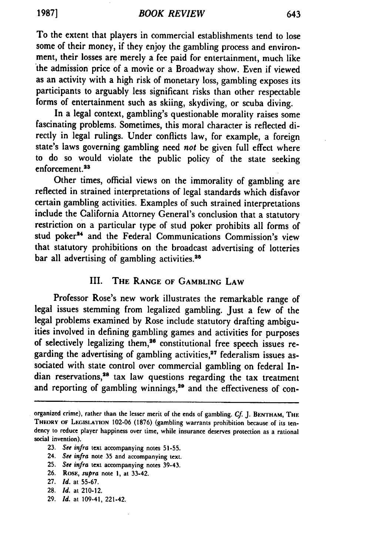#### *BOOK REVIEW*

To the extent that players in commercial establishments tend to lose some of their money, if they enjoy the gambling process and environment, their losses are merely a fee paid for entertainment, much like the admission price of a movie or a Broadway show. Even if viewed as an activity with a high risk of monetary loss, gambling exposes its participants to arguably less significant risks than other respectable forms of entertainment such as skiing, skydiving, or scuba diving.

In a legal context, gambling's questionable morality raises some fascinating problems. Sometimes, this moral character is reflected directly in legal rulings. Under conflicts law, for example, a foreign state's laws governing gambling need *not* be given full effect where to do so would violate the public policy of the state seeking enforcement.<sup>23</sup>

Other times, official views on the immorality of gambling are reflected in strained interpretations of legal standards which disfavor certain gambling activities. Examples of such strained interpretations include the California Attorney General's conclusion that a statutory restriction on a particular type of stud poker prohibits all forms of stud poker<sup>24</sup> and the Federal Communications Commission's view that statutory prohibitions on the broadcast advertising of lotteries bar all advertising of gambling activities.<sup>25</sup>

# III. **THE RANGE OF GAMBLING LAW**

Professor Rose's new work illustrates the remarkable range of legal issues stemming from legalized gambling. Just a few of the legal problems examined **by** Rose include statutory drafting ambiguities involved in defining gambling games and activities for purposes of selectively legalizing them,<sup>26</sup> constitutional free speech issues regarding the advertising of gambling activities, $27$  federalism issues associated with state control over commercial gambling on federal Indian reservations,<sup>38</sup> tax law questions regarding the tax treatment and reporting of gambling winnings,<sup>29</sup> and the effectiveness of con-

- **23.** *See infra* text accompanying notes 51-55.
- 24. *See* infra note **35** and accompanying text.
- **25.** *See infra* text accompanying notes 39-43.
- **26.** RosE, *supra* note **1,** at **33-42.**
- 27. *Id.* at 55-67.
- **28.** *Id.* at 210-12.
- 29. *Id.* at 109-41, 221-42.

organized crime), rather than the lesser merit of the ends of gambling. Cf. J. BENTHAM, THE **THEORY OF LE;IStATION** 102-06 (1876) (gambling warrants prohibition because of its tendency to reduce player happiness over time, while insurance deserves protection as a rational social invention).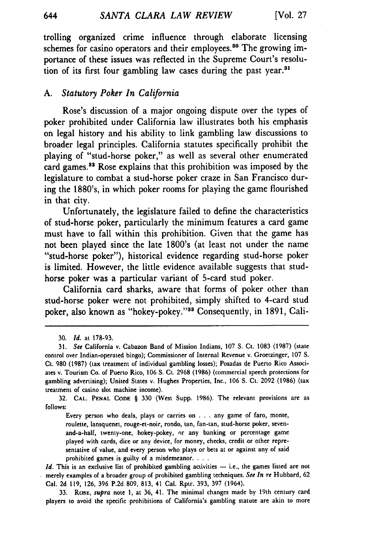trolling organized crime influence through elaborate licensing schemes for casino operators and their employees.<sup>30</sup> The growing importance of these issues was reflected in the Supreme Court's resolution of its first four gambling law cases during the past year.<sup>31</sup>

## A. *Statutory Poker In California*

Rose's discussion of a major ongoing dispute over the types of poker prohibited under California law illustrates both his emphasis on legal history and his ability to link gambling law discussions to broader legal principles. California statutes specifically prohibit the playing of "stud-horse poker," as well as several other enumerated card games.<sup>32</sup> Rose explains that this prohibition was imposed by the legislature to combat a stud-horse poker craze in San Francisco during the 1880's, in which poker rooms for playing the game flourished in that city.

Unfortunately, the legislature failed to define the characteristics of stud-horse poker, particularly the minimum features a card game must have to fall within this prohibition. Given that the game has not been played since the late 1800's (at least not under the name "stud-horse poker"), historical evidence regarding stud-horse poker is limited. However, the little evidence available suggests that studhorse poker was a particular variant of 5-card stud poker.

California card sharks, aware that forms of poker other than stud-horse poker were not prohibited, simply shifted to 4-card stud poker, also known as "hokey-pokey." 33 Consequently, in **1891,** Cali-

32. **CAL. PENAL CODE** § 330 (West Supp. 1986). The relevant provisions are as follows:

Every person who deals, plays or carries on . . **.** any game of faro, monte, roulette, lansquenet, rouge-et-noir, rondo, tan, fan-tan, stud-horse poker, sevenand-a-half, twenty-one, hokey-pokey, or any banking or percentage game played with cards, dice or any device, for money, checks, credit or other representative of value, and every person who plays or bets at or against any of said prohibited games is guilty of a misdemeanor. . **..**

*Id.* This is an exclusive list of prohibited gambling activities - i.e., the games listed are not \* merely examples of a broader group of prohibited gambling techniques. *See In re* Hubbard, 62 Cal. 2d 119, 126, 396 P.2d 809, 813, 41 Cal. Rptr. 393, 397 (1964).

33. RosE, *supra* note 1, at 36, 41. The minimal changes made by 19th century card players to avoid the specific prohibitions of California's gambling statute are akin to more

**<sup>30.</sup>** *Id.* at 178-93.

<sup>31.</sup> *See* California v. Cabazon Band of Mission Indians, 107 S. Ct. 1083 (1987) (state control over Indian-operated bingo); Commissioner of Internal Revenue v. Groetzinger, **107** S. Ct. 980 (1987) (tax treatment of individual gambling losses); Posadas de Puerto Rico Associates v. Tourism Co. of Puerto Rico, **106** S. Ct. 2968 (1986) (commercial speech protections for gambling advertising); United States v. Hughes Properties, Inc., 106 **S.** Ct. 2092 (1986) (tax treatment of casino slot machine income).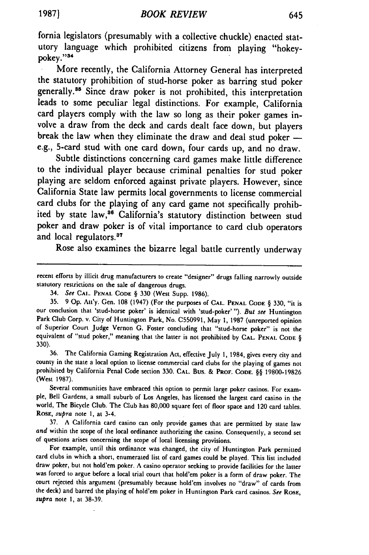fornia legislators (presumably with a collective chuckle) enacted statutory language which prohibited citizens from playing "hokeypokey."34

More recently, the California Attorney General has interpreted the statutory prohibition of stud-horse poker as barring stud poker generally.<sup>35</sup> Since draw poker is not prohibited, this interpretation leads to some peculiar legal distinctions. For example, California card players comply with the law so long as their poker games involve a draw from the deck and cards dealt face down, but players break the law when they eliminate the draw and deal stud poker e.g., 5-card stud with one card down, four cards up, and no draw.

Subtle distinctions concerning card games make little difference to the individual player because criminal penalties for stud poker playing are seldom enforced against private players. However, since California State law permits local governments to license commercial card clubs for the playing of any card game not specifically prohibited by state law,<sup>36</sup> California's statutory distinction between stud poker and draw poker is of vital importance to card club operators and local regulators.<sup>37</sup>

Rose also examines the bizarre legal battle currently underway

recent efforts by illicit drug manufacturers to create "designer" drugs falling narrowly outside statutory restrictions on the sale of dangerous drugs.

34. *See* **CAL.. PENAL CODE** § **330** (West Supp. 1986).

35. **9 Op.** Att'y. Gen. **108** (1947) (For the purposes **of CAL. PENAL CODE** § **330,** "it is our conclusion that 'stud-horse poker' is identical with 'stud-poker' **").** *But see* Huntington Park Club Corp. v. City of Huntington Park, No. **C550991,** May **1, 1987** (unreported opinion of Superior Court Judge Vernon **G.** Foster concluding that "stud-horse poker" is not the equivalent of "stud poker," meaning that the latter is not prohibited **by CAL. PENAL CODE** § 330).

36. The California Gaming Registration Act, effective July 1, 1984, gives every city and county in the state a local option to license commercial card clubs for the playing of games not prohibited by California Penal Code section 330. **CAL.** Bus. & PROF. **CODE.** §§ 19800-19826 (West 1987).

Several communities have embraced this option to permit large poker casinos. For exam ple, Bell Gardens, a small suburb of Los Angeles, has licensed the largest card casino in the world, The Bicycle Club. The Club has 80,000 square feet of floor space and 120 card tables. RosE, *supra* note **1,** at 3-4.

37. A California card casino can only provide games that are permitted by state law *and* within the scope of the local ordinance authorizing the casino. Consequently, a second set of questions arises concerning the scope of local licensing provisions.

For example, until this ordinance was changed, the city of Huntington Park permitted card clubs in which a short, enumerated list of card games could be played. This list included draw poker, but not hold'em poker. A casino operator seeking to provide facilities for the latter was forced to argue before a local trial court that hold'em poker is a form of draw poker. The court rejected this argument (presumably because hold'em involves no "draw" of cards from the deck) and barred the playing of hold'em poker in Huntington Park card casinos. *See* RosE, *supra* note **1,** at 38-39.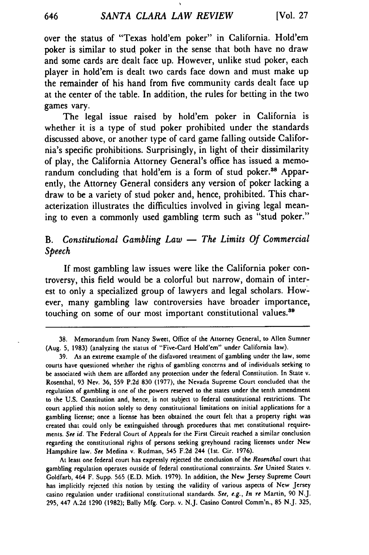over the status of "Texas hold'em poker" in California. Hold'em poker is similar to stud poker in the sense that both have no draw and some cards are dealt face up. However, unlike stud poker, each player in hold'em is dealt two cards face down and must make up the remainder of his hand from five community cards dealt face up at the center of the table. In addition, the rules for betting in the two games vary.

The legal issue raised by hold'em poker in California is whether it is a type of stud poker prohibited under the standards discussed above, or another type of card game falling outside California's specific prohibitions. Surprisingly, in light of their dissimilarity of play, the California Attorney General's office has issued a memorandum concluding that hold'em is a form of stud poker.<sup>38</sup> Apparently, the Attorney General considers any version of poker lacking a draw to be a variety of stud poker and, hence, prohibited. This characterization illustrates the difficulties involved in giving legal meaning to even a commonly used gambling term such as "stud poker."

# **B.** Constitutional Gambling Law - The Limits Of Commercial *Speech*

If most gambling law issues were like the California poker controversy, this field would be a colorful but narrow, domain of interest to only a specialized group of lawyers and legal scholars. However, many gambling law controversies have broader importance, touching on some of our most important constitutional values.<sup>39</sup>

At least one federal court has expressly rejected the conclusion of the *Rosenthal* court that gambling regulation operates outside of federal constitutional constraints. *See* United States v. Goldfarb, 464 F. Supp. **565 (E.D.** Mich. 1979). In addition, the New Jersey Supreme Court has implicitly rejected this notion **by** testing the validity of various aspects of New Jersey casino regulation under traditional constitutional standards. *See, e.g., In* re Martin, 90 N.J. **295,** 447 A.2d 1290 (1982); Bally **Mfg.** Corp. v. N.J. Casino Control Comm'n., 85 N.J. **325,**

**<sup>38.</sup>** Memorandum from Nancy Sweet, Office of the Attorney General, to Allen Sumner (Aug. **5, 1983)** (analyzing the status of "Five-Card Hold'em" under California law).

**<sup>39.</sup>** As an extreme example of the disfavored treatment of gambling under the law, some courts have questioned whether the rights of gambling concerns and of individuals seeking to be associated with them are afforded any protection under the federal Constitution. In State v. Rosenthal, **93** Nev. **36, 559 P.2d 830** (1977), the Nevada Supreme Court concluded that the regulation of gambling is one of the powers reserved to the states under the tenth amendment to the U.S. Constitution and, hence, is not subject to federal constitutional restrictions. The court applied this notion solely to deny constitutional limitations on initial applications for a gambling license; once a license has been obtained the court felt that a property right was created that could only be extinguished through procedures that met constitutional requirements. *See id.* The Federal Court of Appeals for the First Circuit reached a similar conclusion regarding the constitutional rights of persons seeking greyhound racing licenses under New Hampshire law. *See* Medina v. Rudman, 545 **F.2d** 244 (1st. Cir. 1976).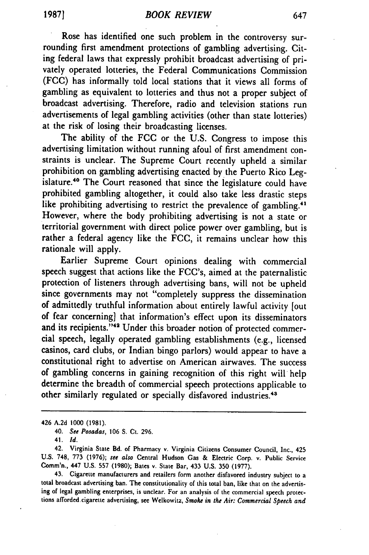Rose has identified one such problem in the controversy surrounding first amendment protections of gambling advertising. Citing federal laws that expressly prohibit broadcast advertising of privately operated lotteries, the Federal Communications Commission (FCC) has informally told local stations that it views all forms of gambling as equivalent to lotteries and thus not a proper subject of broadcast advertising. Therefore, radio and television stations run advertisements of legal gambling activities (other than state lotteries) at the risk of losing their broadcasting licenses.

The ability of the **FCC** or the U.S. Congress to impose this advertising limitation without running afoul of first amendment constraints is unclear. The Supreme Court recently upheld a similar prohibition on gambling advertising enacted by the Puerto Rico Legislature.<sup>40</sup> The Court reasoned that since the legislature could have prohibited gambling altogether, it could also take less drastic steps like prohibiting advertising to restrict the prevalence of gambling.<sup>41</sup> However, where the body prohibiting advertising is not a state or territorial government with direct police power over gambling, but is rather a federal agency like the FCC, it remains unclear how this rationale will apply.

Earlier Supreme Court opinions dealing with commercial speech suggest that actions like the FCC's, aimed at the paternalistic protection of listeners through advertising bans, will not be upheld since governments may not "completely suppress the dissemination of admittedly truthful information about entirely lawful activity [out of fear concerning] that information's effect upon its disseminators and its recipients."<sup>42</sup> Under this broader notion of protected commercial speech, legally operated gambling establishments (e.g., licensed casinos, card clubs, or Indian bingo parlors) would appear to have a constitutional right to advertise on American airwaves. The success of gambling concerns in gaining recognition of this right will help determine the breadth of commercial speech protections applicable to other similarly regulated or specially disfavored industries.<sup>43</sup>

43. Cigarette manufacturers and retailers form another disfavored industry subject to a total broadcast advertising ban. The constitutionality of this total ban, like that on the advertising of legal gambling enterprises, is unclear. For an analysis of the commercial speech protections afforded cigarette advertising, see Welkowitz, Smoke *in the Air: Commercial Speech and*

<sup>426</sup> **A.2d** 1000 (1981).

<sup>40.</sup> *See Posadas,* 106 S. Ct. 296.

<sup>41.</sup> *Id.*

<sup>42.</sup> Virginia State **Bd.** of Pharmacy v. Virginia Citizens Consumer Council, Inc., 425 U.S. 748, **773** (1976); *see also* Central Hudson Gas & Electric Corp. v. Public Service Comm'n., 447 U.S. **557** (1980); Bates v. State Bar, 433 U.S. **350** (1977).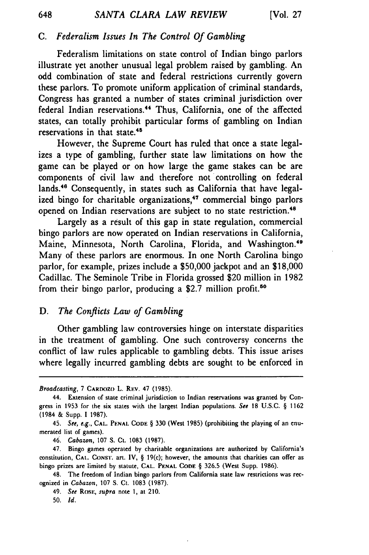## *C. Federalism Issues In The Control Of Gambling*

Federalism limitations on state control of Indian bingo parlors illustrate yet another unusual legal problem raised by gambling. An odd combination of state and federal restrictions currently govern these parlors. To promote uniform application of criminal standards, Congress has granted a number of states criminal jurisdiction over federal Indian reservations.<sup>44</sup> Thus, California, one of the affected states, can totally prohibit particular forms of gambling on Indian reservations in that state.<sup>45</sup>

However, the Supreme Court has ruled that once a state legalizes a type of gambling, further state law limitations on how the game can be played or on how large the game stakes can be are components of civil law and therefore not controlling on federal lands.<sup>46</sup> Consequently, in states such as California that have legalized bingo for charitable organizations,<sup>47</sup> commercial bingo parlors opened on Indian reservations are subject to no state restriction.<sup>48</sup>

Largely as a result of this gap in state regulation, commercial bingo parlors are now operated on Indian reservations in California, Maine, Minnesota, North Carolina, Florida, and Washington.<sup>49</sup> Many of these parlors are enormous. In one North Carolina bingo parlor, for example, prizes include a \$50,000 jackpot and an \$18,000 Cadillac. The Seminole Tribe in Florida grossed \$20 million in 1982 from their bingo parlor, producing a \$2.7 million profit.<sup>50</sup>

### *D. The Conflicts Law of Gambling*

Other gambling law controversies hinge on interstate disparities in the treatment of gambling. One such controversy concerns the conflict of law rules applicable to gambling debts. This issue arises where legally incurred gambling debts are sought to be enforced in

46. *Cabazon,* 107 S. Ct. **1083** (1987).

*Broadcasting,* 7 **CARDOzo** L. REv. 47 (1985).

<sup>44.</sup> Extension of state criminal jurisdiction to Indian reservations was granted by Congress in 1953 for the six states with the largest Indian populations. *See* **18** U.S.C. § 1162 (1984 & Supp. **1** 1987).

<sup>45.</sup> *See, e.g.,* **CAl,. PENAL** CODE § **330 (West** 1985) (prohibiting the playing of an enumerated list of games).

<sup>47.</sup> Bingo games operated by charitable organizations are authorized by California's constitution, **CA..** CONS'r. art. IV, § 19(c); however, the amounts that charities can offer as bingo prizes are limited **by** statute, CA.. **PENAL CODE** § 326.5 (West Supp. 1986).

<sup>48.</sup> The freedom of Indian bingo parlors from California state law restrictions was recognized in *Cabazon,* 107 **S.** Ct. **1083** (1987).

<sup>49.</sup> See RosE, *supra* note 1, at 210.

**<sup>50.</sup>** *Id.*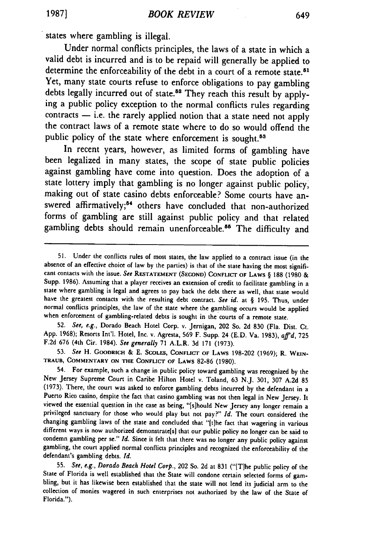states where gambling is illegal.

Under normal conflicts principles, the laws of a state in which a valid debt is incurred and is to be repaid will generally be applied to determine the enforceability of the debt in a court of a remote state.<sup>5</sup> Yet, many state courts refuse to enforce obligations to pay gambling debts legally incurred out of state.<sup>52</sup> They reach this result by applying a public policy exception to the normal conflicts rules regarding  $contrast - i.e.$  the rarely applied notion that a state need not apply the contract laws of a remote state where to do so would offend the public policy of the state where enforcement is sought.<sup>53</sup>

In recent years, however, as limited forms of gambling have been legalized in many states, the scope of state public policies against gambling have come into question. Does the adoption of a state lottery imply that gambling is no longer against public policy, making out of state casino debts enforceable? Some courts have answered affirmatively;<sup>54</sup> others have concluded that non-authorized forms of gambling are still against public policy and that related gambling debts should remain unenforceable.<sup>55</sup> The difficulty and

**52.** *See, e.g.,* Dorado Beach Hotel Corp. v. Jernigan, 202 So. **2d 830** (Fla. Dist. Ct. App. 1968); Resorts Int'l. Hotel, Inc. v. Agresta, **569** F. Supp. 24 (E.D. Va. 1983), *aff'd,* **<sup>725</sup> F.2d** 676 (4th Cir. 1984). *See generally* 71 A.L.R. **3d 171** (1973).

**53.** *See* H. GOODRICH & **E. SCOLES, CONFLICT OF LAWS** 198-202 (1969); R. **WEIN-TRAUB, COMMENTARY ON THE CONFLICT OF LAWS 82-86** (1980).

649

<sup>51.</sup> Under the conflicts rules of most states, the law applied to a contract issue (in the absence of an effective choice of law by the parties) is that of the state having the most significant contacts with the issue. *See* **RESTATEMENT (SECOND) CONFLICT OF** LAWS § **188 (1980** & Supp. 1986). Assuming that a player receives an extension of credit to facilitate gambling in a state where gambling is legal and agrees to pay back the debt there as well, that state would have the greatest contacts with the resulting debt contract. *See id.* at § 195. Thus, under normal conflicts principles, the law of the state where the gambling occurs would be applied when enforcement of gambling-related debts is sought in the courts of a remote state.

<sup>54.</sup> For example, such a change in public policy toward gambling was recognized **by** the New Jersey Supreme Court in Caribe Hilton Hotel v. Toland, **63** N.J. **301, 307 A.2d 85** (1973). There, the court was asked to enforce gambling debts incurred **by** the defendant in a Puerto Rico casino, despite the fact that casino gambling was not then legal in New Jersey. It viewed the essential question in the case as being, "[s]hould New Jersey any longer remain a privileged sanctuary for those who would play but not pay?" *Id.* The court considered the changing gambling laws of the state and concluded that "'[the fact that wagering in various different ways is now authorized demonstrate[s] that our public policy no longer can be said to condemn gambling per se." *Id.* Since it felt that there was no longer any public policy against gambling, the court applied normal conflicts principles and recognized the enforceability of the defendant's gambling debts. *Id.*

**<sup>55.</sup>** *See, e.g., Dorado* Beach Hotel Corp., 202 So. **2d** at **831** ("[Tlhe public policy of the State of Florida is well established that the State will condone certain selected forms of gambling, but it has likewise been established that the state will not lend its judicial arm to the collection of monies wagered in such enterprises not authorized **by** the law of the State of Florida.").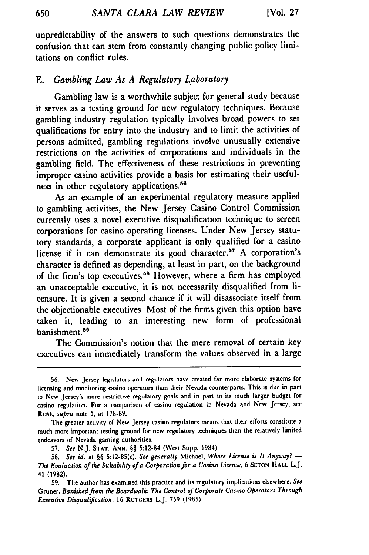unpredictability of the answers to such questions demonstrates the confusion that can stem from constantly changing public policy limitations on conflict rules.

## **E.** *Gambling Law As A Regulatory Laboratory*

Gambling law is a worthwhile subject for general study because it serves as a testing ground for new regulatory techniques. Because gambling industry regulation typically involves broad powers to set qualifications for entry into the industry and to limit the activities of persons admitted, gambling regulations involve unusually extensive restrictions on the activities of corporations and individuals in the gambling field. The effectiveness of these restrictions in preventing improper casino activities provide a basis for estimating their usefulness in other regulatory applications.<sup>56</sup>

As an example of an experimental regulatory measure applied to gambling activities, the New Jersey Casino Control Commission currently uses a novel executive disqualification technique to screen corporations for casino operating licenses. Under New Jersey statutory standards, a corporate applicant is only qualified for a casino license if it can demonstrate its good character.<sup>57</sup> A corporation's character is defined as depending, at least in part, on the background of the firm's top executives.<sup>88</sup> However, where a firm has employed an unacceptable executive, it is not necessarily disqualified from licensure. It is given a second chance if it will disassociate itself from the objectionable executives. Most of the firms given this option have taken it, leading to an interesting new form of professional banishment.<sup>59</sup>

The Commission's notion that the mere removal of certain key executives can immediately transform the values observed in a large

<sup>56.</sup> New Jersey legislators and regulators have created far more elaborate systems for licensing and monitoring casino operators than their Nevada counterparts. This is due in part to New Jersey's more restrictive regulatory goals and in part to its much larger budget for casino regulation. For a comparison of casino regulation in Nevada and New Jersey, see RosE, supra note **1,** at 178-89.

The greater activity of New Jersey casino regulators means that their efforts constitute a much more important testing ground for new regulatory techniques than the relatively limited endeavors of Nevada gaming authorities.

<sup>57.</sup> See N.J. SrAT. **ANN.** §§ 5:12-84 (West Supp. 1984).

<sup>58.</sup> See id. at §§ 5:12-85(c). See generally Michael, Whose License is It Anyway? **-** The Evaluation of the Suitability of a Corporation for a Casino License, <sup>6</sup>**SETON HALL** L.J. 41 (1982).

<sup>59.</sup> The author has examined this practice and its regulatory implications elsewhere. See Gruner, Banished from the Boardwalk: The Control of Corporate Casino Operators Through *Executive* Disqualification, 16 **RUTGERS** L.J. 759 (1985).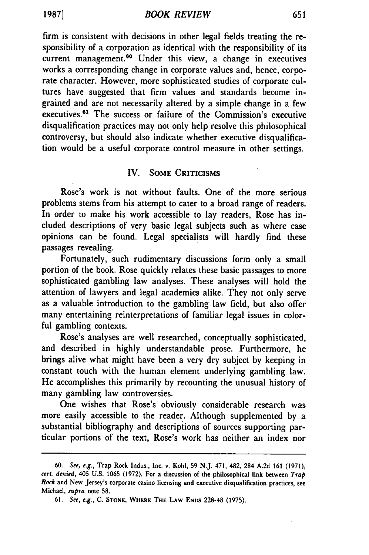*BOOK REVIEW*

firm is consistent with decisions in other legal fields treating the responsibility of a corporation as identical with the responsibility of its current management.<sup>60</sup> Under this view, a change in executives works a corresponding change in corporate values and, hence, corporate character. However, more sophisticated studies of corporate cultures have suggested that firm values and standards become ingrained and are not necessarily altered by a simple change in a few executives.<sup>61</sup> The success or failure of the Commission's executive disqualification practices may not only help resolve this philosophical controversy, but should also indicate whether executive disqualification would be a useful corporate control measure in other settings.

#### IV. **SOME** CRITICISMS

Rose's work is not without faults. One of the more serious problems stems from his attempt to cater to a broad range of readers. In order to make his work accessible to lay readers, Rose has included descriptions of very basic legal subjects such as where case opinions can be found. Legal specialists will hardly find these passages revealing.

Fortunately, such rudimentary discussions form only a small portion of the book. Rose quickly relates these basic passages to more sophisticated gambling law analyses. These analyses will hold the attention of lawyers and legal academics alike. They not only serve as a valuable introduction to the gambling law field, but also offer many entertaining reinterpretations of familiar legal issues in colorful gambling contexts.

Rose's analyses are well researched, conceptually sophisticated, and described in **highly** understandable prose. Furthermore, he brings alive what might have been a very dry subject **by** keeping in constant touch with the human element underlying gambling law. He accomplishes this primarily by recounting the unusual history of many gambling law controversies.

One wishes that Rose's obviously considerable research was more easily accessible to the reader. Although supplemented **by** a substantial bibliography and descriptions of sources supporting particular portions of the text, Rose's work has neither an index nor

<sup>60.</sup> *See, e.g.,* Trap Rock Indus., Inc. v. **Kohl, 59** N.J. 471, 482, 284 A.2d 161 (1971), *cert. denied,* 405 U.S. **1065** (1972). For a discussion of the philosophical link between *Trap Rock* and New Jersey's corporate casino licensing and executive disqualification practices, see Michael, *supra* note **58.**

<sup>61.</sup> See, e.g., **C. STONE, WHERE THE LAW ENDS 228-48** (1975).